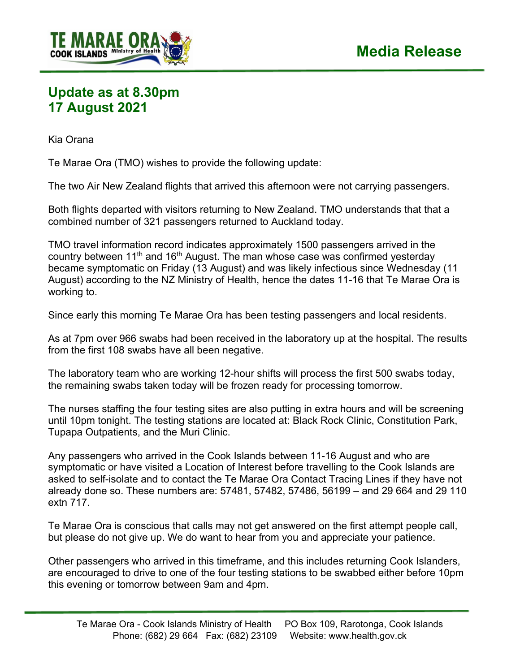

## **Update as at 8.30pm 17 August 2021**

Kia Orana

Te Marae Ora (TMO) wishes to provide the following update:

The two Air New Zealand flights that arrived this afternoon were not carrying passengers.

Both flights departed with visitors returning to New Zealand. TMO understands that that a combined number of 321 passengers returned to Auckland today.

TMO travel information record indicates approximately 1500 passengers arrived in the country between 11<sup>th</sup> and 16<sup>th</sup> August. The man whose case was confirmed yesterday became symptomatic on Friday (13 August) and was likely infectious since Wednesday (11 August) according to the NZ Ministry of Health, hence the dates 11-16 that Te Marae Ora is working to.

Since early this morning Te Marae Ora has been testing passengers and local residents.

As at 7pm over 966 swabs had been received in the laboratory up at the hospital. The results from the first 108 swabs have all been negative.

The laboratory team who are working 12-hour shifts will process the first 500 swabs today, the remaining swabs taken today will be frozen ready for processing tomorrow.

The nurses staffing the four testing sites are also putting in extra hours and will be screening until 10pm tonight. The testing stations are located at: Black Rock Clinic, Constitution Park, Tupapa Outpatients, and the Muri Clinic.

Any passengers who arrived in the Cook Islands between 11-16 August and who are symptomatic or have visited a Location of Interest before travelling to the Cook Islands are asked to self-isolate and to contact the Te Marae Ora Contact Tracing Lines if they have not already done so. These numbers are: 57481, 57482, 57486, 56199 – and 29 664 and 29 110 extn 717.

Te Marae Ora is conscious that calls may not get answered on the first attempt people call, but please do not give up. We do want to hear from you and appreciate your patience.

Other passengers who arrived in this timeframe, and this includes returning Cook Islanders, are encouraged to drive to one of the four testing stations to be swabbed either before 10pm this evening or tomorrow between 9am and 4pm.